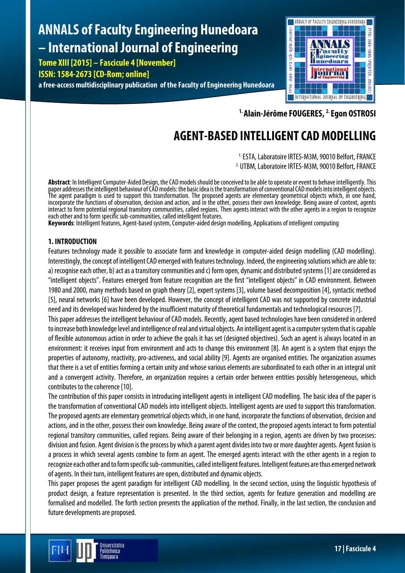# **ANNALS of Faculty Engineering Hunedoara – International Journal of Engineering**

**Tome XIII [2015] – Fascicule 4 [November] ISSN: 1584-2673 [CD-Rom; online]**

**a free-access multidisciplinary publication of the Faculty of Engineering Hunedoara**



**1. Alain-Jérôme FOUGERES, 2. Egon OSTROSI**

## **AGENT-BASED INTELLIGENT CAD MODELLING**

<sup>1.</sup> ESTA, Laboratoire IRTES-M3M, 90010 Belfort, FRANCE 2. UTBM, Laboratoire IRTES-M3M, 90010 Belfort, FRANCE

Abstract: In Intelligent Computer-Aided Design, the CAD models should be conceived to be able to operate or event to behave intelligently. This paper addresses the intelligent behaviour of CAD models: the basic idea is the The agent paradigm is used to support this transformation. The proposed agents are elementary geometrical objects which, in one hand, incorporate the functions of observation, decision and action, and in the other, possess their own knowledge. Being aware of context, agents interact to form potential regional transitory communities, called regions. Then agents interact with the other agents in a region to recognize each other and to form specific sub-communities, called intelligent features.

Keywords: Intelligent features, Agent-based system, Computer-aided design modelling, Applications of intelligent computing

## **1. INTRODUCTION**

Features technology made it possible to associate form and knowledge in computer-aided design modelling (CAD modelling). Interestingly, the concept of intelligent CAD emerged with features technology. Indeed, the engineering solutions which are able to: a) recognise each other, b) act as a transitory communities and c) form open, dynamic and distributed systems [1] are considered as "intelligent objects". Features emerged from feature recognition are the first "intelligent objects" in CAD environment. Between 1980 and 2000, many methods based on graph theory [2], expert systems [3], volume based decomposition [4], syntactic method [5], neural networks [6] have been developed. However, the concept of intelligent CAD was not supported by concrete industrial need and its developed was hindered by the insufficient maturity of theoretical fundamentals and technological resources [7].

This paper addresses the intelligent behaviour of CAD models. Recently, agent based technologies have been considered in ordered to increase both knowledge level and intelligence of real and virtual objects. An intelligent agent is a computer system that is capable of flexible autonomous action in order to achieve the goals it has set (designed objectives). Such an agent is always located in an environment: it receives input from environment and acts to change this environment [8]. An agent is a system that enjoys the properties of autonomy, reactivity, pro-activeness, and social ability [9]. Agents are organised entities. The organization assumes that there is a set of entities forming a certain unity and whose various elements are subordinated to each other in an integral unit and a convergent activity. Therefore, an organization requires a certain order between entities possibly heterogeneous, which contributes to the coherence [10].

The contribution of this paper consists in introducing intelligent agents in intelligent CAD modelling. The basic idea of the paper is the transformation of conventional CAD models into intelligent objects. Intelligent agents are used to support this transformation. The proposed agents are elementary geometrical objects which, in one hand, incorporate the functions of observation, decision and actions, and in the other, possess their own knowledge. Being aware of the context, the proposed agents interact to form potential regional transitory communities, called regions. Being aware of their belonging in a region, agents are driven by two processes: division and fusion. Agent division is the process by which a parent agent divides into two or more daughter agents. Agent fusion is a process in which several agents combine to form an agent. The emerged agents interact with the other agents in a region to recognize each other and to form specific sub-communities, called intelligent features. Intelligent features are thus emerged network of agents. In their turn, intelligent features are open, distributed and dynamic objects.

This paper proposes the agent paradigm for intelligent CAD modelling. In the second section, using the linguistic hypothesis of product design, a feature representation is presented. In the third section, agents for feature generation and modelling are formalised and modelled. The forth section presents the application of the method. Finally, in the last section, the conclusion and future developments are proposed.

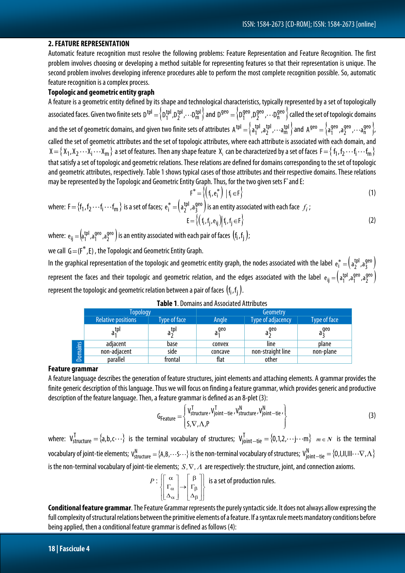#### **2. FEATURE REPRESENTATION**

Automatic feature recognition must resolve the following problems: Feature Representation and Feature Recognition. The first problem involves choosing or developing a method suitable for representing features so that their representation is unique. The second problem involves developing inference procedures able to perform the most complete recognition possible. So, automatic feature recognition is a complex process.

#### **Topologic and geometric entity graph**

A feature is a geometric entity defined by its shape and technological characteristics, typically represented by a set of topologically associated faces. Given two finite sets  ${\sf D}^{\sf tpl}=\left\{ \sf D_1^{\sf tpl},\sf D_2^{\sf tpl},\cdots \sf D_m^{\sf tpl}\right\}$ tpl 2 tpl  $D^{\text{tpl}} = \left\{ D_1^{\text{tpl}}, D_2^{\text{tpl}}, \cdots D_m^{\text{tpl}} \right\}$  and  $D^{\text{geo}} = \left\{ D_1^{\text{geo}}, D_2^{\text{geo}}, \cdots D_n^{\text{geo}} \right\}$ geo 2 geo  $D^{\text{geo}} = \left\{ D_1^{\text{geo}}, D_2^{\text{geo}}, \cdots D_n^{\text{geo}} \right\}$  called the set of topologic domains and the set of geometric domains, and given two finite sets of attributes  $A^{tpl}=\left\{a_1^{tpl},a_2^{tpl},\cdots a_m^{tpl}\right\}$ tpl 2 tpl  $A^{\text{th}} = \left\{ a_1^{\text{th}}, a_2^{\text{th}}, \cdots, a_m^{\text{th}} \right\}$  and  $A^{\text{geo}} = \left\{ a_1^{\text{geo}}, a_2^{\text{geo}}, \cdots, a_m^{\text{geo}} \right\}$ geo 2 geo  $A<sup>geo</sup> = \begin{cases} a<sub>1</sub><sup>geo</sup>, a<sub>2</sub><sup>geo</sup>, · · · a<sub>n</sub><sup>geo</sup> \end{cases}$ called the set of geometric attributes and the set of topologic attributes, where each attribute is associated with each domain, and  $X=\{X_1,X_2\cdots X_i\cdots X_m\}$  a set of features. Then any shape feature  $X_i$  can be characterized by a set of faces  $F=\{$  f $_1,$  f $_2\cdots$  f $_i\cdots$  f $_m\}$ i that satisfy a set of topologic and geometric relations. These relations are defined for domains corresponding to the set of topologic and geometric attributes, respectively. Table 1 shows typical cases of those attributes and their respective domains. These relations may be represented by the Topologic and Geometric Entity Graph. Thus, for the two given sets F\* and E:

$$
F^* = \left\{ \left( f_i, e_i^* \right) \mid f_i \in F \right\} \tag{1}
$$

where: 
$$
F = \{f_1, f_2 \cdots f_i \cdots f_m\}
$$
 is a set of faces;  $e_i^* = \left(a_2^{\text{tpl}}, a_3^{\text{geo}}\right)$  is an entity associated with each face  $f_i$ ;  
\n
$$
E = \left\{\left(f_i, f_j, e_{ij}\right) | f_i, f_j \in F\right\}
$$
\n(2)

where:  $e_{ij} = (a_1^{tpl}, a_1^{geo}, a_2^{geo})$ geo 1  $\rm e_{ij}=\rm \left(a_1^{tpl},a_1^{geo},a_2^{geo}\right)$  is an entity associated with each pair of faces  $\rm \left(f_i,f_j\right)$  ; we call  $G = (F^*, E)$ , the Topologic and Geometric Entity Graph.

In the graphical representation of the topologic and geometric entity graph, the nodes associated with the label  $e_i^* = (a_2^{tpl}, a_3^{geo})$  $e_i^* = \left(a_2^{\text{tpl}}\right),$ a represent the faces and their topologic and geometric relation, and the edges associated with the label  $e_{ij}=\left(a_1^{tpl},a_1^{geo},a_2^{geo}\right)$ geo 1  $e_{ij} = \left(a_1^{tpl}, a_1^{geo}, a_1^{geo}\right)$ represent the topologic and geometric relation between a pair of faces  $(f_i, f_i)$ .

|                | Topology                  |                   | Geometry         |                          |              |
|----------------|---------------------------|-------------------|------------------|--------------------------|--------------|
|                | <b>Relative positions</b> | Type of face      | Angle            | <b>Type of adjacency</b> | Type of face |
|                | <sub>a</sub> tpl<br>a,    | $a_2^{\text{th}}$ | a <sup>geo</sup> | $a_2^{geo}$              | $a_2^{geo}$  |
| <b>Domains</b> | adiacent                  | base              | convex           | line                     | plane        |
|                | non-adjacent              | side              | concave          | non-straight line        | non-plane    |
|                | parallel                  | frontal           | flat             | other                    |              |

| Table 1. Domains and Associated Attributes |  |
|--------------------------------------------|--|
|--------------------------------------------|--|

#### **Feature grammar**

A feature language describes the generation of feature structures, joint elements and attaching elements. A grammar provides the finite generic description of this language. Thus we will focus on finding a feature grammar, which provides generic and productive description of the feature language. Then, a feature grammar is defined as an 8-plet (3):

$$
G_{Feature} = \begin{cases} V_{structure}^{T}, V_{joint-tie}^{T}, V_{structure}^{N}, V_{joint-tie}^{N}, \\ S, \nabla, \Lambda, P \end{cases}
$$
 (3)

where:  $V_{structure}^T = \{a,b,c... \}$  is the terminal vocabulary of structures;  $V_{joint-tie}^T = \{0,1,2,\cdots j\cdots m\}$   $m \in \mathbb{N}$  is the terminal vocabulary of joint-tie elements; V $_{\rm structure}^{\rm N}=\{$ A,B, $\cdots$ S $\cdots\}$  is the non-terminal vocabulary of structures; V $_{\rm joint-tie}^{\rm N}=\{$ O,I,II,III $\cdots$  $\nabla$ , $\Lambda\}$ is the non-terminal vocabulary of joint-tie elements; *S ,*∇*,*<sup>Λ</sup> are respectively: the structure, joint, and connection axioms.

$$
P: \left\{ \begin{bmatrix} \alpha \\ \Gamma_{\alpha} \\ \Delta_{\alpha} \end{bmatrix} \rightarrow \begin{bmatrix} \beta \\ \Gamma_{\beta} \\ \Delta_{\beta} \end{bmatrix} \right\} \text{ is a set of production rules.}
$$

**Conditional feature grammar**. The Feature Grammar represents the purely syntactic side. It does not always allow expressing the full complexity of structural relations between the primitive elements of a feature. If a syntax rule meets mandatory conditions before being applied, then a conditional feature grammar is defined as follows (4):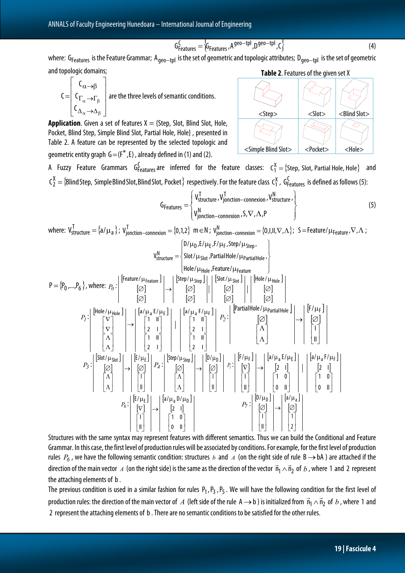$$
G_{Features}^{C} = \left\langle G_{Features}, A^{geo-tpl}, D^{geo-tpl}, C \right\rangle
$$
\n(4)

where: G<sub>Features</sub> is the Feature Grammar; A<sub>geo—tpl</sub> is the set of geometric and topologic attributes; D<sub>geo—tpl</sub> is the set of geometric and topologic domains;

$$
C = \begin{bmatrix} C_{\alpha \to \beta} \\ C_{\Gamma_{\alpha} \to \Gamma_{\beta}} \\ C_{\Delta_{\alpha} \to \Delta_{\beta}} \end{bmatrix}
$$
 are the three levels of semantic conditions.

**Application.** Given a set of features  $X = \{$ Step, Slot, Blind Slot, Hole, Pocket, Blind Step, Simple Blind Slot, Partial Hole, Hole} , presented in Table 2. A feature can be represented by the selected topologic and geometric entity graph  $G = (F^*, E)$ , already defined in (1) and (2).



A Fuzzy Feature Grammars G $^C_{Features}$  are inferred for the feature classes:  $C_1^X =$ {Step, Slot, Partial Hole, Hole} and  $\bm{\mathsf{C}}_2^{\bm{\mathsf{X}}}=\{$ Blind Step, Simple Blind Slot, Blind Slot, Pocket  $\}$  respectively. For the feature class  $\bm{\mathsf{C}}_1^{\bm{\mathsf{X}}}$  ,  $\bm{\mathsf{G}}_{\sf{Features}}^{\sf{C}}$  is defined as follows (5):

$$
G_{Features} = \begin{cases} V_{structure}^{T}, V_{jonction-connexion}^{T}, V_{structure}^{N}, \\ V_{jonction-connexion}^{N}, S, \nabla, \Lambda, P \end{cases}
$$
 (5)

where:  $\bm{\mathsf{V}}_{\mathsf{structure}}^{\intercal} = \{\mathsf{a}/\mu_{\mathsf{a}}\}$ ;  $\bm{\mathsf{V}}_{\mathsf{jontion-connectionlexion}}^{\intercal} = \{0,1,2\}$   $\bm{\mathsf{m}} \in \mathsf{N}$ ;  $\bm{\mathsf{V}}_{\mathsf{jontion-connectionlexion}}^{\mathsf{N}} = \{0, \mathsf{I}, \mathsf{II}, \nabla, \Lambda\}$ ;  $\bm{\mathsf{S}} = \mathsf{Feature}/\mu_{\mathsf{Feature}}, \nabla, \Lambda$ ;  $\left[ D/\mu_{D}$ ,E/ $\mu_{E}$ ,F/ $\mu_{F}$ ,Step/ $\mu_{Step}$ ,  $\right]$ 

$$
P = \{P_0, \ldots, P_6\}, \text{ where: } P_0: \begin{bmatrix} \text{Feature} \\ \text{feature} \end{bmatrix} \rightarrow \begin{bmatrix} \text{feature} / \mu_{\text{feature}} \\ \text{[O]} \\ \text{[O]} \\ \text{[O]} \\ \text{[O]} \\ \text{[O]} \\ \text{[O]} \\ \text{[O]} \\ \text{[O]} \\ \text{[O]} \\ \text{[O]} \\ \text{[O]} \\ \text{[O]} \\ \text{[O]} \\ \text{[O]} \\ \text{[O]} \\ \text{[O]} \\ \text{[O]} \\ \text{[O]} \\ \text{[O]} \\ \text{[O]} \\ \text{[O]} \\ \text{[O]} \\ \text{[O]} \\ \text{[O]} \\ \text{[O]} \\ \text{[O]} \\ \text{[O]} \\ \text{[O]} \\ \text{[O]} \\ \text{[O]} \\ \text{[O]} \\ \text{[O]} \\ \text{[O]} \\ \text{[O]} \\ \text{[O]} \\ \text{[O]} \\ \text{[O]} \\ \text{[O]} \\ \text{[O]} \\ \text{[O]} \\ \text{[O]} \\ \text{[O]} \\ \text{[O]} \\ \text{[O]} \\ \text{[O]} \\ \text{[O]} \\ \text{[O]} \\ \text{[O]} \\ \text{[O]} \\ \text{[O]} \\ \text{[O]} \\ \text{[O]} \\ \text{[O]} \\ \text{[O]} \\ \text{[O]} \\ \text{[O]} \\ \text{[O]} \\ \text{[O]} \\ \text{[O]} \\ \text{[O]} \\ \text{[O]} \\ \text{[O]} \\ \text{[O]} \\ \text{[O]} \\ \text{[O]} \\ \text{[O]} \\ \text{[O]} \\ \text{[O]} \\ \text{[O]} \\ \text{[O]} \\ \text{[O]} \\ \text{[O]} \\ \text{[O]} \\ \text{[O]} \\ \text{[O]} \\ \text{[O]} \\ \text{[O]} \\ \text{[O]} \\ \text{[O]} \\ \text{[O]} \\ \text{[O]} \\ \text{[O]} \\ \text{[O]} \\ \text{[O]} \\ \text{[O]} \\ \text{[O]} \\ \text{[O]} \\ \text{[O]} \\ \text{[O]} \\ \text{[O]} \\ \text{[O]} \\ \text{[O]} \\ \text{[O]} \\ \text{[O]} \\ \text{[O]} \\ \text{[O]} \\ \text{[O]} \\ \text{[O]} \\
$$

Structures with the same syntax may represent features with different semantics. Thus we can build the Conditional and Feature Grammar. In this case, the first level of production rules will be associated by conditions. For example, for the first level of production rules  $P_6$ , we have the following semantic condition: structures *b* and *A* (on the right side of rule B  $\rightarrow$  bA) are attached if the direction of the main vector *A* (on the right side) is the same as the direction of the vector  $\vec{n}_1 \wedge \vec{n}_2$  of *b*, where 1 and 2 represent the attaching elements of b.

The previous condition is used in a similar fashion for rules  $P_1$ ,  $P_2$ ,  $P_5$ . We will have the following condition for the first level of production rules: the direction of the main vector of *A* (left side of the rule A  $\to$  b) is initialized from  $\vec{n}_1 \wedge \vec{n}_2$  of *b*, where 1 and 2 represent the attaching elements of b. There are no semantic conditions to be satisfied for the other rules.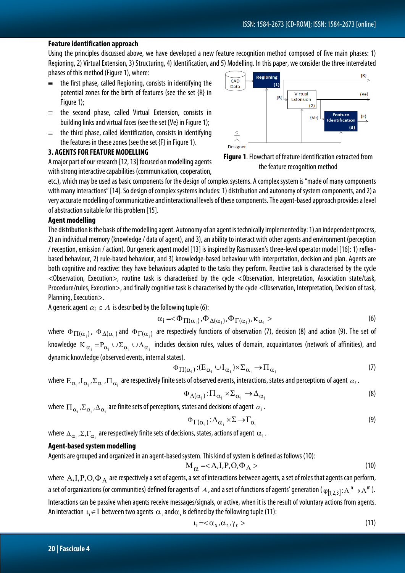#### **Feature identification approach**

Using the principles discussed above, we have developed a new feature recognition method composed of five main phases: 1) Regioning, 2) Virtual Extension, 3) Structuring, 4) Identification, and 5) Modelling. In this paper, we consider the three interrelated phases of this method (Figure 1), where:  $\{R\}$ 

- $\equiv$  the first phase, called Regioning, consists in identifying the potential zones for the birth of features (see the set {R} in Figure 1);
- ≡ the second phase, called Virtual Extension, consists in building links and virtual faces (see the set {Ve} in Figure 1);
- $\equiv$  the third phase, called Identification, consists in identifying the features in these zones (see the set {F} in Figure 1).

#### **3. AGENTS FOR FEATURE MODELLING**

A major part of our research [12, 13] focused on modelling agents with strong interactive capabilities (communication, cooperation,

etc.), which may be used as basic components for the design of complex systems. A complex system is "made of many components with many interactions" [14]. So design of complex systems includes: 1) distribution and autonomy of system components, and 2) a very accurate modelling of communicative and interactional levels of these components. The agent-based approach provides a level of abstraction suitable for this problem [15].

#### **Agent modelling**

The distribution is the basis of the modelling agent. Autonomy of an agent is technically implemented by: 1) an independent process, 2) an individual memory (knowledge / data of agent), and 3), an ability to interact with other agents and environment (perception / reception, emission / action). Our generic agent model [13] is inspired by Rasmussen's three-level operator model [16]: 1) reflexbased behaviour, 2) rule-based behaviour, and 3) knowledge-based behaviour with interpretation, decision and plan. Agents are both cognitive and reactive: they have behaviours adapted to the tasks they perform. Reactive task is characterised by the cycle <Observation, Execution>, routine task is characterised by the cycle <Observation, Interpretation, Association state/task, Procedure/rules, Execution>, and finally cognitive task is characterised by the cycle <Observation, Interpretation, Decision of task, Planning, Execution>.

A generic agent  $\alpha_i \in A$  is described by the following tuple (6):

$$
\alpha_i = <\Phi_{\Pi(\alpha_i)}, \Phi_{\Delta(\alpha_i)}, \Phi_{\Gamma(\alpha_i)}, \kappa_{\alpha_i} >
$$
\n(6)

where  $\Phi_{\Pi(\alpha_i)}$ ,  $\Phi_{\Delta(\alpha_i)}$  and  $\Phi_{\Gamma(\alpha_i)}$  are respectively functions of observation (7), decision (8) and action (9). The set of knowledge  $K_{\alpha_i} = P_{\alpha_i} \cup \Sigma_{\alpha_i} \cup \Delta_{\alpha_i}$  includes decision rules, values of domain, acquaintances (network of affinities), and dynamic knowledge (observed events, internal states).

$$
\Phi_{\Pi(\alpha_i)} : (E_{\alpha_i} \cup I_{\alpha_i}) \times \Sigma_{\alpha_i} \to \Pi_{\alpha_i} \tag{7}
$$

where  $E_{\alpha_i}$ ,  $I_{\alpha_i}$ ,  $\Sigma_{\alpha_i}$ ,  $\Pi_{\alpha_i}$  are respectively finite sets of observed events, interactions, states and perceptions of agent  $\alpha_i$ .

$$
\Phi_{\Delta(\alpha_i)} : \Pi_{\alpha_i} \times \Sigma_{\alpha_i} \to \Delta_{\alpha_i}
$$
\n(8)

where  $\Pi_{\alpha_i}$ ,  $\Sigma_{\alpha_i}$ ,  $\Delta_{\alpha_i}$  are finite sets of perceptions, states and decisions of agent  $\alpha_i$ .

$$
\Phi_{\Gamma(\alpha_i)} : \Delta_{\alpha_i} \times \Sigma \to \Gamma_{\alpha_i} \tag{9}
$$

where  $\Delta_{\alpha_i}$ ,  $\Sigma$ ,  $\Gamma_{\alpha_i}$  are respectively finite sets of decisions, states, actions of agent  $\alpha_i$ .

#### **Agent-based system modelling**

Agents are grouped and organized in an agent-based system. This kind of system is defined as follows (10):

$$
M_{\alpha} =  \tag{10}
$$

where  $A, I, P, O, \Phi_A$  are respectively a set of agents, a set of interactions between agents, a set of roles that agents can perform, a set of organizations (or communities) defined for agents of A, and a set of functions of agents' generation ( $\varphi_{[1,2,3]}$ : A  $\Gamma \to A^m$ ). Interactions can be passive when agents receive messages/signals, or active, when it is the result of voluntary actions from agents. An interaction  $\iota_i \in I$  between two agents  $\alpha_i$  and $\alpha_i$  is defined by the following tuple (11):

$$
t_i = <\alpha_s, \alpha_r, \gamma_c>
$$
 (11)



**Figure 1**. Flowchart of feature identification extracted from the feature recognition method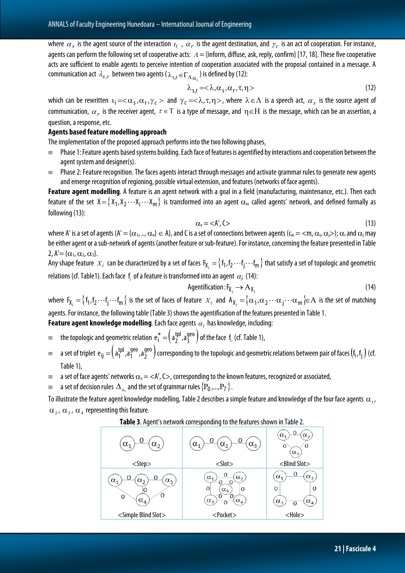where  $\alpha_s$  is the agent source of the interaction  $\iota_i$ ,  $\alpha_r$  is the agent destination, and  $\gamma_c$  is an act of cooperation. For instance, agents can perform the following set of cooperative acts:  $\Lambda =$  {inform, diffuse, ask, reply, confirm} [17, 18]. These five cooperative acts are sufficient to enable agents to perceive intention of cooperation associated with the proposal contained in a message. A communication act  $\lambda_{s,r}$  between two agents ( $\lambda_{s,r} \in \Gamma_{\Lambda_{\alpha,s}}$ ) is defined by (12):

$$
\lambda_{s,r} = <\lambda, \alpha_s, \alpha_r, \tau, \eta>
$$
\n(12)

which can be rewritten  $u_i = \langle \alpha_s, \alpha_r, \gamma_c \rangle$  and  $\gamma_c = \langle \lambda, \tau, \eta \rangle$ , where  $\lambda \in \Lambda$  is a speech act,  $\alpha_s$  is the source agent of communication,  $\alpha_r$  is the receiver agent,  $\tau \in T$  is a type of message, and  $\eta \in H$  is the message, which can be an assertion, a question, a response, etc.

#### **Agents based feature modelling approach**

The implementation of the proposed approach performs into the two following phases.

- Phase 1: Feature agents based systems building. Each face of features is agentified by interactions and cooperation between the agent system and designer(s).
- ≡ Phase 2: Feature recognition. The faces agents interact through messages and activate grammar rules to generate new agents and emerge recognition of regioning, possible virtual extension, and features (networks of face agents).

**Feature agent modelling**. A feature is an agent network with a goal in a field (manufacturing, maintenance, etc.). Then each feature of the set  $X=\{X_1,X_2\cdots X_i\cdots X_m\}$  is transformed into an agent  $\alpha_x$ , called agents' network, and defined formally as following (13):

$$
\alpha_{\rm x} = \langle A', C \rangle \tag{13}
$$

where A' is a set of agents (A' = { $\alpha_1$ , ..,  $\alpha_n$ }  $\in$  A), and C is a set of connections between agents ( $c_m$  = <m,  $\alpha_i$ ,  $\alpha_i$ >);  $\alpha_i$  and  $\alpha_i$  may be either agent or a sub-network of agents (another feature or sub-feature). For instance, concerning the feature presented in Table 2,  $A' = {\alpha_1, \alpha_2, \alpha_3}.$ 

Any shape feature  $|X_i|$  can be characterized by a set of faces  $\mathsf{F_{X_i}}=\{ \mathsf{f_1}, \mathsf{f_2} \cdots \mathsf{f_j} \cdots \mathsf{f_m} \}$  that satisfy a set of topologic and geometric relations (cf. Table1). Each face  $\,$  f<sub>i</sub> of a feature is transformed into an agent  $\,\alpha_i\,$  (14):

$$
Agentification: F_{X_i} \to A_{X_i}
$$
 (14)

where  $F_{X_i} = \{f_1, f_2 \cdots f_j \cdots f_m\}$  is the set of faces of feature  $X_i$  and  $A_{X_i} = \{\alpha_1, \alpha_2 \cdots \alpha_j \cdots \alpha_m\} \in A$  is the set of matching agents. For instance, the following table (Table 3) shows the agentification of the features presented in Table 1.

**Feature agent knowledge modelling**. Each face agents <sup>α</sup> *<sup>i</sup>* has knowledge, including:

- $\equiv$  the topologic and geometric relation  $e^*_i = (a^{\text{tpl}}_2, a^{\text{geo}}_3)$  $e_i^* = (a_2^{\text{tpl}} , a_3^{\text{geo}})$  of the face  $f_i$  (cf. Table 1),
- $=$  a set of triplet  $e_{ij} = (a_1^{tpl}, a_1^{geo}, a_2^{geo})$ geo 1  $e_{ij}=\left(a_1^{tpl},a_1^{geo},a_2^{geo}\right)$  corresponding to the topologic and geometric relations between pair of faces  $(f_i,f_j)$  (cf. Table 1),
- $\equiv$  a set of face agents' networks  $\alpha_x = \langle A', C \rangle$ , corresponding to the known features, recognized or associated,
- a set of decision rules  $\Delta_{\alpha_i}$  and the set of grammar rules  ${P_0, ..., P_7}$ .

To illustrate the feature agent knowledge modelling, Table 2 describes a simple feature and knowledge of the four face agents  $\alpha_1$ ,  $\alpha_2$ ,  $\alpha_3$ ,  $\alpha_4$  representing this feature.

| Table 3. Agent's network corresponding to the features shown in Table 2. |  |  |  |  |  |  |
|--------------------------------------------------------------------------|--|--|--|--|--|--|
|                                                                          |  |  |  |  |  |  |

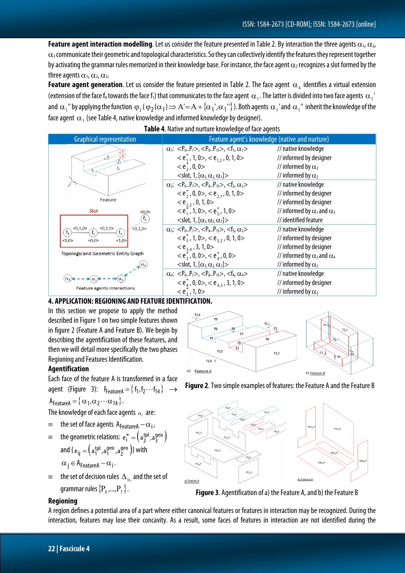**Feature agent interaction modelling**. Let us consider the feature presented in Table 2. By interaction the three agents  $\alpha_1$ ,  $\alpha_2$ ,  $\alpha_3$  communicate their geometric and topological characteristics. So they can collectively identify the features they represent together by activating the grammar rules memorized in their knowledge base. For instance, the face agent  $\alpha_2$  recognizes a slot formed by the three agents  $\alpha_1$ ,  $\alpha_2$ ,  $\alpha_3$ .

**Feature agent generation**. Let us consider the feature presented in Table 2. The face agent  $\alpha_4$  identifies a virtual extension (extension of the face f<sub>4</sub> towards the face f<sub>1</sub>) that communicates to the face agent  $\alpha_1$ . The latter is divided into two face agents  $\alpha_1$ ' and  $\alpha_1$ " by applying the function  $\phi_2(\phi_2(\alpha_1) \Rightarrow A'=A+\{\alpha_1',\alpha_1''\})$ . Both agents  $\alpha_1$  and  $\alpha_1''$  inherit the knowledge of the face agent  $\alpha_1$  (see Table 4, native knowledge and informed knowledge by designer).



## **Table 4**. Native and nurture knowledge of face agents

#### **4. APPLICATION: REGIONING AND FEATURE IDENTIFICATION.**

In this section we propose to apply the method described in Figure 1 on two simple features shown in figure 2 (Feature A and Feature B). We begin by describing the agentification of these features, and then we will detail more specifically the two phases Regioning and Features Identification.

#### **Agentification**

Each face of the feature A is transformed in a face agent (Figure 3):  $F_{\text{FeatureA}} = \{ f_1, f_2 \cdots f_{14} \} \rightarrow$  $A_{\text{FeatureA}} = {\alpha_1, \alpha_2 \cdots \alpha_{14}}.$ 

The knowledge of each face agents  $\alpha_i$  are:

- $\equiv$  the set of face agents  $A_{\text{FeatureA}} \alpha_i$ ,
- $=$  the geometric relations:  $e_i^* = (a_2^{\text{tpl}}, a_3^{\text{geo}})$  $e_i^* = \left(a_2^{\text{tpl}}\right),$ a and {  $\mathbf{e}_{ij} = \left( \mathbf{a}_1^{ \text{tpl}}, \mathbf{a}_1^{ \text{geo}}, \mathbf{a}_2^{ \text{geo}} \right)$ geo 1  $e_{ij} = \left(a_1^{tpl}, a_1^{geo}, a_2^{geo}\right)$ } with  $\alpha_i \in A_{\text{FeatureA}} - \alpha_i$ .
- the set of decision rules  $\Delta_{\alpha}$  and the set of grammar rules  ${P_0, ..., P_7}$ .







**Figure 3**. Agentification of a) the Feature A, and b) the Feature B

## **Regioning**

A region defines a potential area of a part where either canonical features or features in interaction may be recognized. During the interaction, features may lose their concavity. As a result, some faces of features in interaction are not identified during the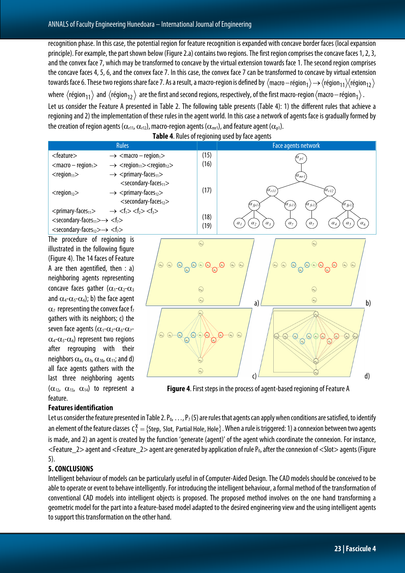recognition phase. In this case, the potential region for feature recognition is expanded with concave border faces (local expansion principle). For example, the part shown below (Figure 2.a) contains two regions. The first region comprises the concave faces 1, 2, 3, and the convex face 7, which may be transformed to concave by the virtual extension towards face 1. The second region comprises the concave faces 4, 5, 6, and the convex face 7. In this case, the convex face 7 can be transformed to concave by virtual extension towards face 6. These two regions share face 7. As a result, a macro-region is defined by  $\langle$ macro–région $_1 \rangle \rightarrow \langle$ région $_{11} \rangle$  $\langle$ région $_{12} \rangle$ where  $\langle$ région $_{11}$  and  $\langle$ région $_{12}$  are the first and second regions, respectively, of the first macro-region  $\langle$ macro–région  $_1 \rangle$ . Let us consider the Feature A presented in Table 2. The following table presents (Table 4): 1) the different rules that achieve a regioningand 2) the implementation of these rules in the agent world. In this case a network of agents face is gradually formed by the creation of region agents ( $\alpha_{r11}, \alpha_{r12}$ ), macro-region agents ( $\alpha_{mr1}$ ), and feature agent ( $\alpha_{p1}$ ).



**Table 4**. Rules of regioning used by face agents

**Figure 4**. First steps in the process of agent-based regioning of Feature A

## **Features identification**

feature.

 $(\alpha_{12}, \alpha_{13}, \alpha_{14})$  to represent a

Let us consider the feature presented in Table 2. P<sub>0</sub>, ..., P<sub>7</sub> (5) are rules that agents can apply when conditions are satisfied, to identify an element of the feature classes  $\sf C^X_1=\{Step, \sf Stot, \sf Partial \sf{ Hole}, \sf {Hole}\}$  . When a rule is triggered: 1) a connexion between two agents is made, and 2) an agent is created by the function 'generate (agent)' of the agent which coordinate the connexion. For instance,  $\leq$ Feature\_2> agent and  $\leq$ Feature\_2> agent are generated by application of rule P<sub>0</sub>, after the connexion of  $\leq$ Slot> agents (Figure 5).

## **5. CONCLUSIONS**

Intelligent behaviour of models can be particularly useful in of Computer-Aided Design. The CAD models should be conceived to be able to operate or event to behave intelligently. For introducing the intelligent behaviour, a formal method of the transformation of conventional CAD models into intelligent objects is proposed. The proposed method involves on the one hand transforming a geometric model for the part into a feature-based model adapted to the desired engineering view and the using intelligent agents to support this transformation on the other hand.